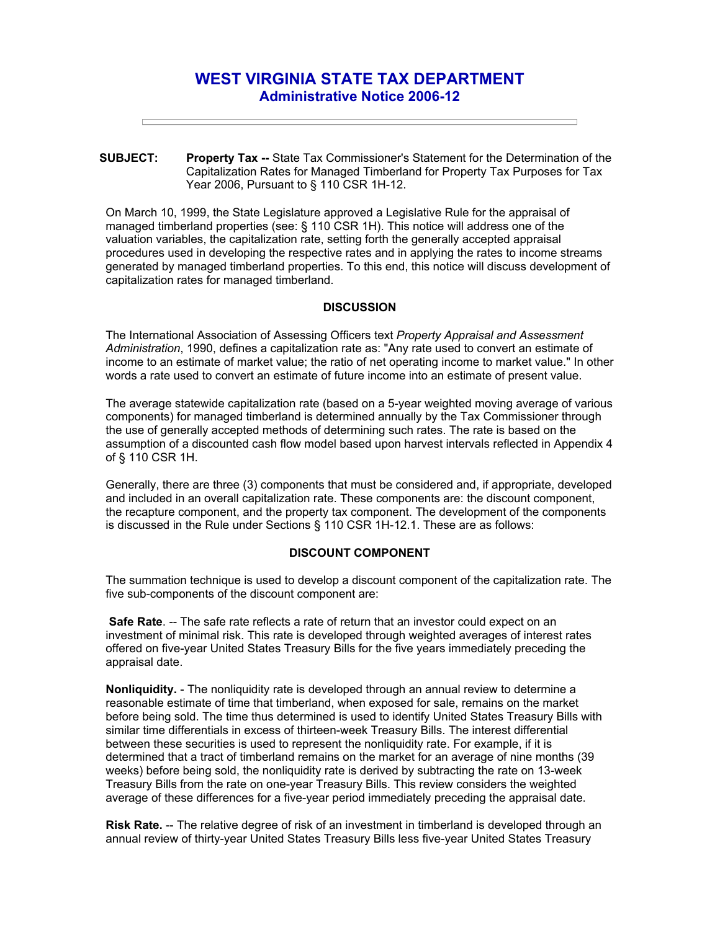# **WEST VIRGINIA STATE TAX DEPARTMENT Administrative Notice 2006-12**

**SUBJECT: Property Tax --** State Tax Commissioner's Statement for the Determination of the Capitalization Rates for Managed Timberland for Property Tax Purposes for Tax Year 2006, Pursuant to § 110 CSR 1H-12.

On March 10, 1999, the State Legislature approved a Legislative Rule for the appraisal of managed timberland properties (see: § 110 CSR 1H). This notice will address one of the valuation variables, the capitalization rate, setting forth the generally accepted appraisal procedures used in developing the respective rates and in applying the rates to income streams generated by managed timberland properties. To this end, this notice will discuss development of capitalization rates for managed timberland.

### **DISCUSSION**

The International Association of Assessing Officers text *Property Appraisal and Assessment Administration*, 1990, defines a capitalization rate as: "Any rate used to convert an estimate of income to an estimate of market value; the ratio of net operating income to market value." In other words a rate used to convert an estimate of future income into an estimate of present value.

The average statewide capitalization rate (based on a 5-year weighted moving average of various components) for managed timberland is determined annually by the Tax Commissioner through the use of generally accepted methods of determining such rates. The rate is based on the assumption of a discounted cash flow model based upon harvest intervals reflected in Appendix 4 of § 110 CSR 1H.

Generally, there are three (3) components that must be considered and, if appropriate, developed and included in an overall capitalization rate. These components are: the discount component, the recapture component, and the property tax component. The development of the components is discussed in the Rule under Sections § 110 CSR 1H-12.1. These are as follows:

## **DISCOUNT COMPONENT**

The summation technique is used to develop a discount component of the capitalization rate. The five sub-components of the discount component are:

**Safe Rate.** -- The safe rate reflects a rate of return that an investor could expect on an investment of minimal risk. This rate is developed through weighted averages of interest rates offered on five-year United States Treasury Bills for the five years immediately preceding the appraisal date.

**Nonliquidity.** - The nonliquidity rate is developed through an annual review to determine a reasonable estimate of time that timberland, when exposed for sale, remains on the market before being sold. The time thus determined is used to identify United States Treasury Bills with similar time differentials in excess of thirteen-week Treasury Bills. The interest differential between these securities is used to represent the nonliquidity rate. For example, if it is determined that a tract of timberland remains on the market for an average of nine months (39 weeks) before being sold, the nonliquidity rate is derived by subtracting the rate on 13-week Treasury Bills from the rate on one-year Treasury Bills. This review considers the weighted average of these differences for a five-year period immediately preceding the appraisal date.

**Risk Rate.** -- The relative degree of risk of an investment in timberland is developed through an annual review of thirty-year United States Treasury Bills less five-year United States Treasury